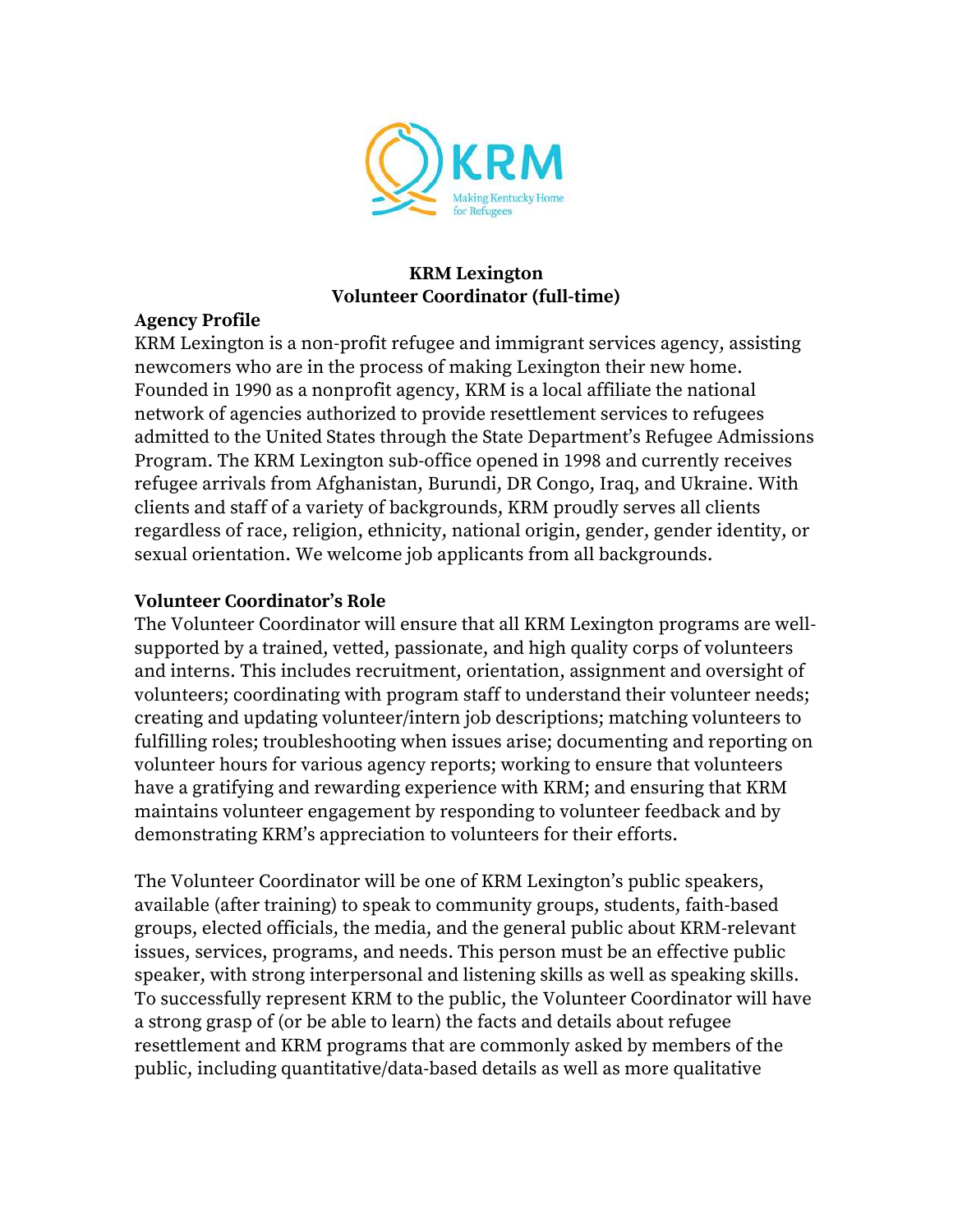

### **KRM Lexington Volunteer Coordinator (full-time)**

### **Agency Profile**

KRM Lexington is a non-profit refugee and immigrant services agency, assisting newcomers who are in the process of making Lexington their new home. Founded in 1990 as a nonprofit agency, KRM is a local affiliate the national network of agencies authorized to provide resettlement services to refugees admitted to the United States through the State Department's Refugee Admissions Program. The KRM Lexington sub-office opened in 1998 and currently receives refugee arrivals from Afghanistan, Burundi, DR Congo, Iraq, and Ukraine. With clients and staff of a variety of backgrounds, KRM proudly serves all clients regardless of race, religion, ethnicity, national origin, gender, gender identity, or sexual orientation. We welcome job applicants from all backgrounds.

#### **Volunteer Coordinator's Role**

The Volunteer Coordinator will ensure that all KRM Lexington programs are wellsupported by a trained, vetted, passionate, and high quality corps of volunteers and interns. This includes recruitment, orientation, assignment and oversight of volunteers; coordinating with program staff to understand their volunteer needs; creating and updating volunteer/intern job descriptions; matching volunteers to fulfilling roles; troubleshooting when issues arise; documenting and reporting on volunteer hours for various agency reports; working to ensure that volunteers have a gratifying and rewarding experience with KRM; and ensuring that KRM maintains volunteer engagement by responding to volunteer feedback and by demonstrating KRM's appreciation to volunteers for their efforts.

The Volunteer Coordinator will be one of KRM Lexington's public speakers, available (after training) to speak to community groups, students, faith-based groups, elected officials, the media, and the general public about KRM-relevant issues, services, programs, and needs. This person must be an effective public speaker, with strong interpersonal and listening skills as well as speaking skills. To successfully represent KRM to the public, the Volunteer Coordinator will have a strong grasp of (or be able to learn) the facts and details about refugee resettlement and KRM programs that are commonly asked by members of the public, including quantitative/data-based details as well as more qualitative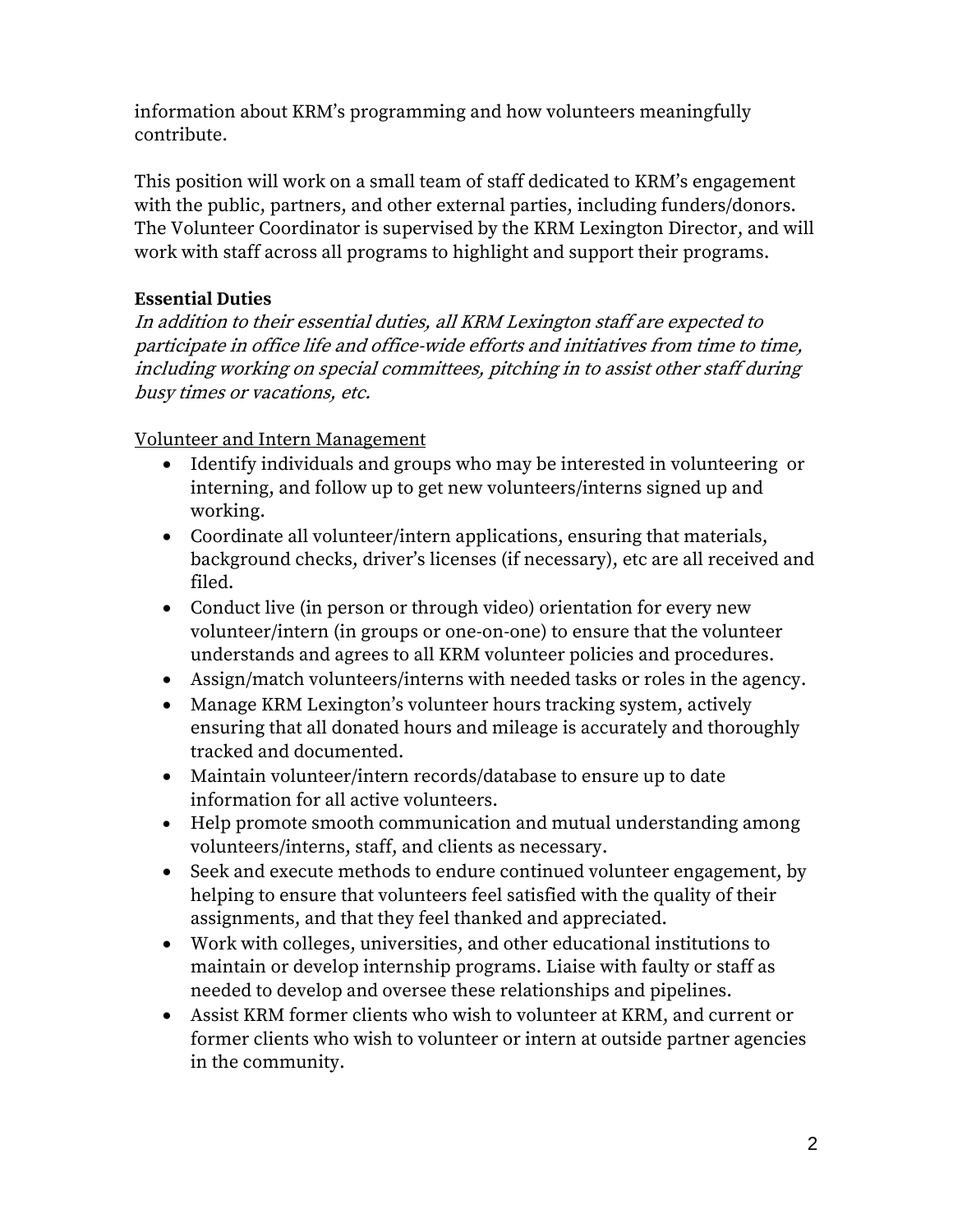information about KRM's programming and how volunteers meaningfully contribute.

This position will work on a small team of staff dedicated to KRM's engagement with the public, partners, and other external parties, including funders/donors. The Volunteer Coordinator is supervised by the KRM Lexington Director, and will work with staff across all programs to highlight and support their programs.

## **Essential Duties**

In addition to their essential duties, all KRM Lexington staff are expected to participate in office life and office-wide efforts and initiatives from time to time, including working on special committees, pitching in to assist other staff during busy times or vacations, etc.

Volunteer and Intern Management

- Identify individuals and groups who may be interested in volunteering or interning, and follow up to get new volunteers/interns signed up and working.
- Coordinate all volunteer/intern applications, ensuring that materials, background checks, driver's licenses (if necessary), etc are all received and filed.
- Conduct live (in person or through video) orientation for every new volunteer/intern (in groups or one-on-one) to ensure that the volunteer understands and agrees to all KRM volunteer policies and procedures.
- Assign/match volunteers/interns with needed tasks or roles in the agency.
- Manage KRM Lexington's volunteer hours tracking system, actively ensuring that all donated hours and mileage is accurately and thoroughly tracked and documented.
- Maintain volunteer/intern records/database to ensure up to date information for all active volunteers.
- Help promote smooth communication and mutual understanding among volunteers/interns, staff, and clients as necessary.
- Seek and execute methods to endure continued volunteer engagement, by helping to ensure that volunteers feel satisfied with the quality of their assignments, and that they feel thanked and appreciated.
- Work with colleges, universities, and other educational institutions to maintain or develop internship programs. Liaise with faulty or staff as needed to develop and oversee these relationships and pipelines.
- Assist KRM former clients who wish to volunteer at KRM, and current or former clients who wish to volunteer or intern at outside partner agencies in the community.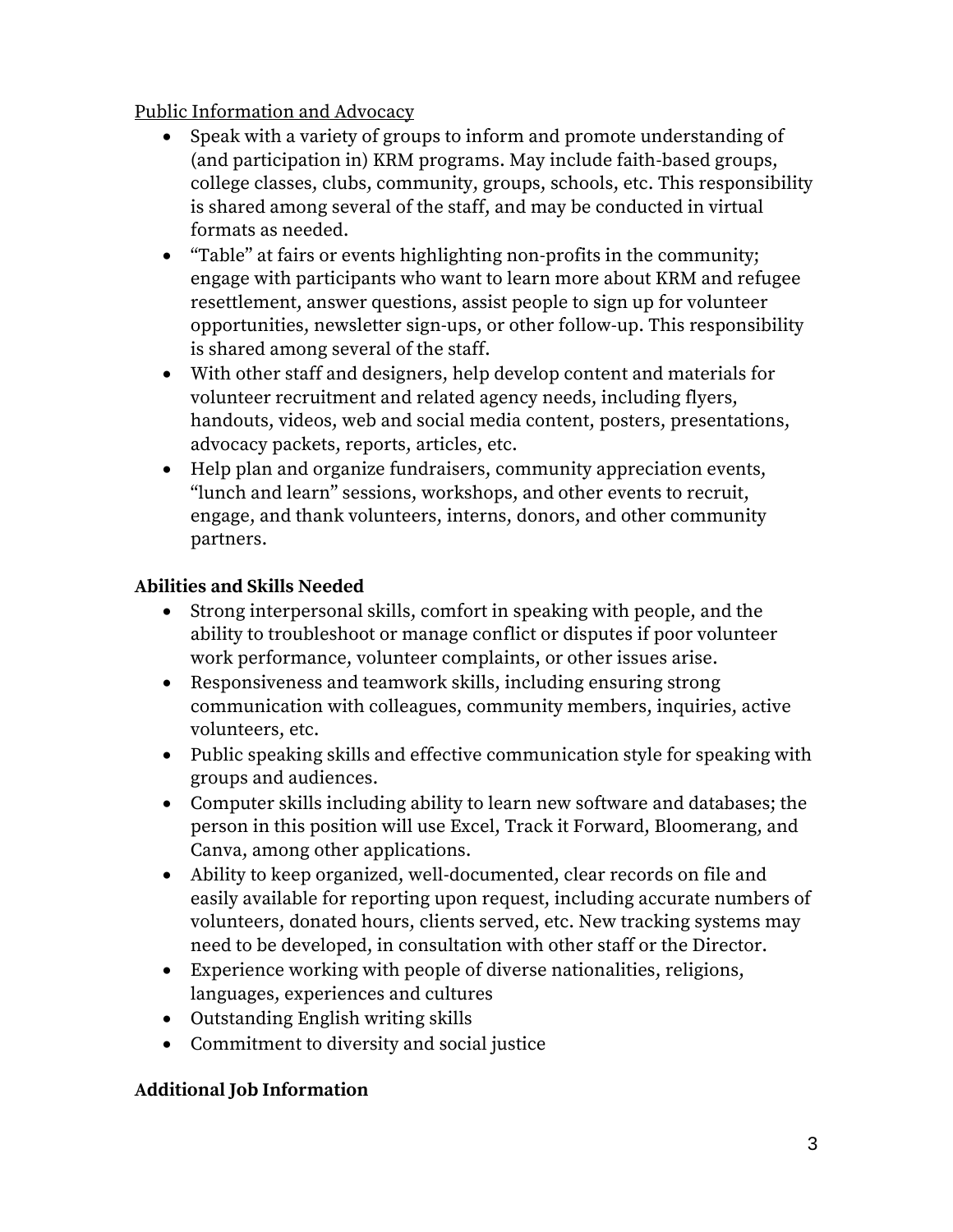Public Information and Advocacy

- Speak with a variety of groups to inform and promote understanding of (and participation in) KRM programs. May include faith-based groups, college classes, clubs, community, groups, schools, etc. This responsibility is shared among several of the staff, and may be conducted in virtual formats as needed.
- "Table" at fairs or events highlighting non-profits in the community; engage with participants who want to learn more about KRM and refugee resettlement, answer questions, assist people to sign up for volunteer opportunities, newsletter sign-ups, or other follow-up. This responsibility is shared among several of the staff.
- With other staff and designers, help develop content and materials for volunteer recruitment and related agency needs, including flyers, handouts, videos, web and social media content, posters, presentations, advocacy packets, reports, articles, etc.
- Help plan and organize fundraisers, community appreciation events, "lunch and learn" sessions, workshops, and other events to recruit, engage, and thank volunteers, interns, donors, and other community partners.

# **Abilities and Skills Needed**

- Strong interpersonal skills, comfort in speaking with people, and the ability to troubleshoot or manage conflict or disputes if poor volunteer work performance, volunteer complaints, or other issues arise.
- Responsiveness and teamwork skills, including ensuring strong communication with colleagues, community members, inquiries, active volunteers, etc.
- Public speaking skills and effective communication style for speaking with groups and audiences.
- Computer skills including ability to learn new software and databases; the person in this position will use Excel, Track it Forward, Bloomerang, and Canva, among other applications.
- Ability to keep organized, well-documented, clear records on file and easily available for reporting upon request, including accurate numbers of volunteers, donated hours, clients served, etc. New tracking systems may need to be developed, in consultation with other staff or the Director.
- Experience working with people of diverse nationalities, religions, languages, experiences and cultures
- Outstanding English writing skills
- Commitment to diversity and social justice

# **Additional Job Information**